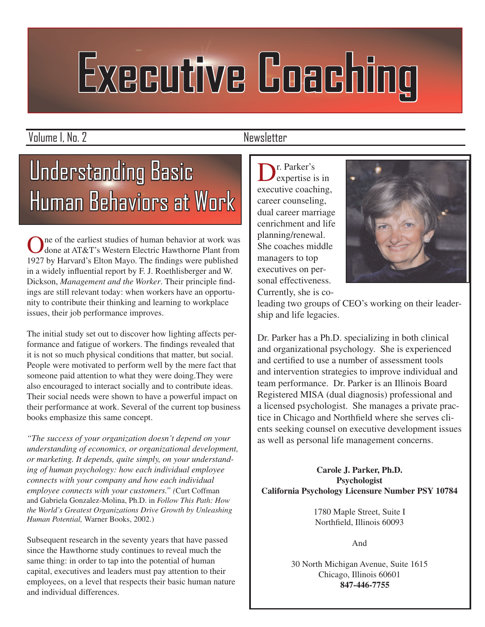# **Executive Coaching**

Volume I, No. 2 Newsletter

## Understanding Basic Human Behaviors at Work

One of the earliest studies of human behavior at work was done at AT&T's Western Electric Hawthorne Plant from 1927 by Harvard's Elton Mayo. The findings were published in a widely influential report by F. J. Roethlisberger and W. Dickson, *Management and the Worker*. Their principle findings are still relevant today: when workers have an opportunity to contribute their thinking and learning to workplace issues, their job performance improves.

The initial study set out to discover how lighting affects performance and fatigue of workers. The findings revealed that it is not so much physical conditions that matter, but social. People were motivated to perform well by the mere fact that someone paid attention to what they were doing.They were also encouraged to interact socially and to contribute ideas. Their social needs were shown to have a powerful impact on their performance at work. Several of the current top business books emphasize this same concept.

*"The success of your organization doesn't depend on your understanding of economics, or organizational development, or marketing. It depends, quite simply, on your understanding of human psychology: how each individual employee connects with your company and how each individual employee connects with your customers." (*Curt Coffman and Gabriela Gonzalez-Molina, Ph.D. in *Follow This Path: How the World's Greatest Organizations Drive Growth by Unleashing Human Potential,* Warner Books, 2002.)

Subsequent research in the seventy years that have passed since the Hawthorne study continues to reveal much the same thing: in order to tap into the potential of human capital, executives and leaders must pay attention to their employees, on a level that respects their basic human nature and individual differences.

Dr. Parker's<br>expertise is in executive coaching, career counseling, dual career marriage cenrichment and life planning/renewal. She coaches middle managers to top executives on personal effectiveness. Currently, she is co-



leading two groups of CEO's working on their leadership and life legacies.

Dr. Parker has a Ph.D. specializing in both clinical and organizational psychology. She is experienced and certified to use a number of assessment tools and intervention strategies to improve individual and team performance. Dr. Parker is an Illinois Board Registered MISA (dual diagnosis) professional and a licensed psychologist. She manages a private practice in Chicago and Northfield where she serves clients seeking counsel on executive development issues as well as personal life management concerns.

**Carole J. Parker, Ph.D. Psychologist California Psychology Licensure Number PSY 10784**

> 1780 Maple Street, Suite I Northfield, Illinois 60093

> > And

30 North Michigan Avenue, Suite 1615 Chicago, Illinois 60601  **847-446-7755**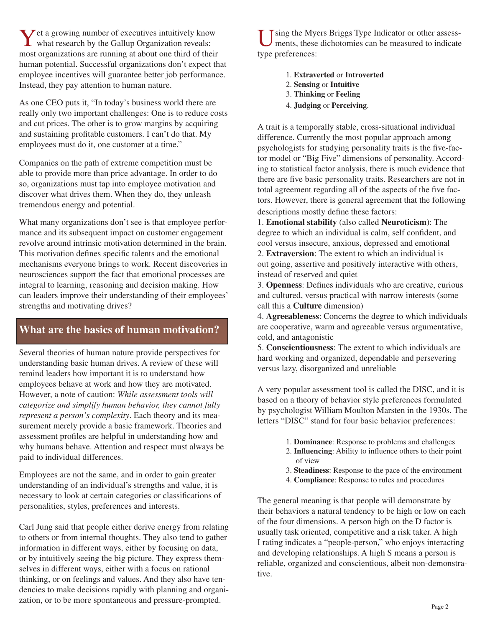**Y** et a growing number of executives intuitively know what research by the Gallup Organization reveals:<br>most cronizations are running at about one third of their most organizations are running at about one third of their human potential. Successful organizations don't expect that employee incentives will guarantee better job performance. Instead, they pay attention to human nature.

As one CEO puts it, "In today's business world there are really only two important challenges: One is to reduce costs and cut prices. The other is to grow margins by acquiring and sustaining profitable customers. I can't do that. My employees must do it, one customer at a time."

Companies on the path of extreme competition must be able to provide more than price advantage. In order to do so, organizations must tap into employee motivation and discover what drives them. When they do, they unleash tremendous energy and potential.

What many organizations don't see is that employee performance and its subsequent impact on customer engagement revolve around intrinsic motivation determined in the brain. This motivation defines specific talents and the emotional mechanisms everyone brings to work. Recent discoveries in neurosciences support the fact that emotional processes are integral to learning, reasoning and decision making. How can leaders improve their understanding of their employees' strengths and motivating drives?

#### **What are the basics of human motivation?**

Several theories of human nature provide perspectives for understanding basic human drives. A review of these will remind leaders how important it is to understand how employees behave at work and how they are motivated. However, a note of caution: *While assessment tools will categorize and simplify human behavior, they cannot fully represent a person's complexity*. Each theory and its measurement merely provide a basic framework. Theories and assessment profiles are helpful in understanding how and why humans behave. Attention and respect must always be paid to individual differences.

Employees are not the same, and in order to gain greater understanding of an individual's strengths and value, it is necessary to look at certain categories or classifications of personalities, styles, preferences and interests.

Carl Jung said that people either derive energy from relating to others or from internal thoughts. They also tend to gather information in different ways, either by focusing on data, or by intuitively seeing the big picture. They express themselves in different ways, either with a focus on rational thinking, or on feelings and values. And they also have tendencies to make decisions rapidly with planning and organization, or to be more spontaneous and pressure-prompted.

Using the Myers Briggs Type Indicator or other assessments, these dichotomies can be measured to indicate type preferences:

- 1. **Extraverted** or **Introverted**
- 2. **Sensing** or **Intuitive**
- 3. **Thinking** or **Feeling**
- 4. **Judging** or **Perceiving**.

A trait is a temporally stable, cross-situational individual difference. Currently the most popular approach among psychologists for studying personality traits is the five-factor model or "Big Five" dimensions of personality. According to statistical factor analysis, there is much evidence that there are five basic personality traits. Researchers are not in total agreement regarding all of the aspects of the five factors. However, there is general agreement that the following descriptions mostly define these factors:

1. **Emotional stability** (also called **Neuroticism**): The degree to which an individual is calm, self confident, and cool versus insecure, anxious, depressed and emotional 2. **Extraversion**: The extent to which an individual is out going, assertive and positively interactive with others, instead of reserved and quiet

3. **Openness**: Defines individuals who are creative, curious and cultured, versus practical with narrow interests (some call this a **Culture** dimension)

4. **Agreeableness**: Concerns the degree to which individuals are cooperative, warm and agreeable versus argumentative, cold, and antagonistic

5. **Conscientiousness**: The extent to which individuals are hard working and organized, dependable and persevering versus lazy, disorganized and unreliable

A very popular assessment tool is called the DISC, and it is based on a theory of behavior style preferences formulated by psychologist William Moulton Marsten in the 1930s. The letters "DISC" stand for four basic behavior preferences:

- 1. **Dominance**: Response to problems and challenges
- 2. **Influencing**: Ability to influence others to their point of view
- 3. **Steadiness**: Response to the pace of the environment
- 4. **Compliance**: Response to rules and procedures

The general meaning is that people will demonstrate by their behaviors a natural tendency to be high or low on each of the four dimensions. A person high on the D factor is usually task oriented, competitive and a risk taker. A high I rating indicates a "people-person," who enjoys interacting and developing relationships. A high S means a person is reliable, organized and conscientious, albeit non-demonstrative.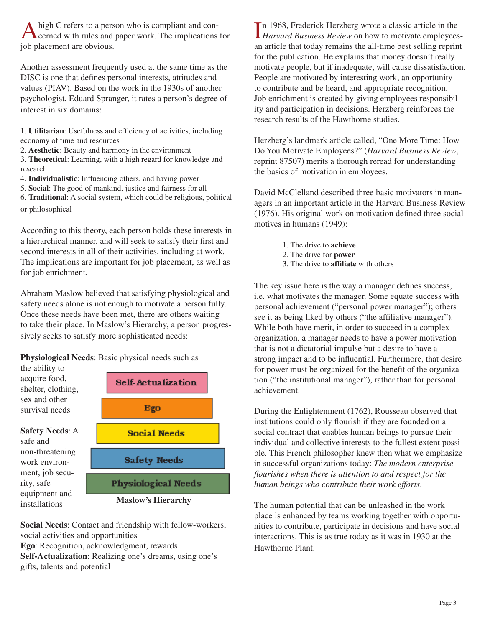A high C refers to a person who is compliant and con-<br>cerned with rules and paper work. The implications for<br>ish placement are obvious job placement are obvious.

Another assessment frequently used at the same time as the DISC is one that defines personal interests, attitudes and values (PIAV). Based on the work in the 1930s of another psychologist, Eduard Spranger, it rates a person's degree of interest in six domains:

1. **Utilitarian**: Usefulness and efficiency of activities, including economy of time and resources

- 2. **Aesthetic**: Beauty and harmony in the environment
- 3. **Theoretical**: Learning, with a high regard for knowledge and research
- 4. **Individualistic**: Influencing others, and having power
- 5. **Social**: The good of mankind, justice and fairness for all

6. **Traditional**: A social system, which could be religious, political or philosophical

According to this theory, each person holds these interests in a hierarchical manner, and will seek to satisfy their first and second interests in all of their activities, including at work. The implications are important for job placement, as well as for job enrichment.

Abraham Maslow believed that satisfying physiological and safety needs alone is not enough to motivate a person fully. Once these needs have been met, there are others waiting to take their place. In Maslow's Hierarchy, a person progressively seeks to satisfy more sophisticated needs:

**Physiological Needs**: Basic physical needs such as



**Maslow's Hierarchy**

**Social Needs**: Contact and friendship with fellow-workers, social activities and opportunities

**Ego**: Recognition, acknowledgment, rewards

installations

**Self-Actualization**: Realizing one's dreams, using one's gifts, talents and potential

In 1968, Frederick Herzberg wrote a classic article in the *Harvard Business Review* on how to motivate employeesn 1968, Frederick Herzberg wrote a classic article in the an article that today remains the all-time best selling reprint for the publication. He explains that money doesn't really motivate people, but if inadequate, will cause dissatisfaction. People are motivated by interesting work, an opportunity to contribute and be heard, and appropriate recognition. Job enrichment is created by giving employees responsibility and participation in decisions. Herzberg reinforces the research results of the Hawthorne studies.

Herzberg's landmark article called, "One More Time: How Do You Motivate Employees?" (*Harvard Business Review*, reprint 87507) merits a thorough reread for understanding the basics of motivation in employees.

David McClelland described three basic motivators in managers in an important article in the Harvard Business Review (1976). His original work on motivation defined three social motives in humans (1949):

- 1. The drive to **achieve**
- 2. The drive for **power**
- 3. The drive to **affiliate** with others

The key issue here is the way a manager defines success, i.e. what motivates the manager. Some equate success with personal achievement ("personal power manager"); others see it as being liked by others ("the affiliative manager"). While both have merit, in order to succeed in a complex organization, a manager needs to have a power motivation that is not a dictatorial impulse but a desire to have a strong impact and to be influential. Furthermore, that desire for power must be organized for the benefit of the organization ("the institutional manager"), rather than for personal achievement.

During the Enlightenment (1762), Rousseau observed that institutions could only flourish if they are founded on a social contract that enables human beings to pursue their individual and collective interests to the fullest extent possible. This French philosopher knew then what we emphasize in successful organizations today: *The modern enterprise flourishes when there is attention to and respect for the human beings who contribute their work efforts*.

The human potential that can be unleashed in the work place is enhanced by teams working together with opportunities to contribute, participate in decisions and have social interactions. This is as true today as it was in 1930 at the Hawthorne Plant.